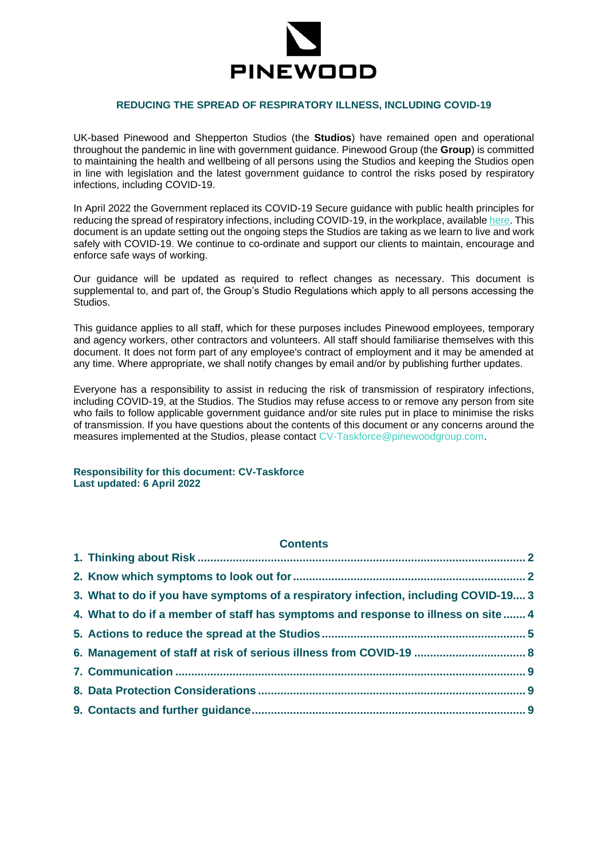

### **REDUCING THE SPREAD OF RESPIRATORY ILLNESS, INCLUDING COVID-19**

UK-based Pinewood and Shepperton Studios (the **Studios**) have remained open and operational throughout the pandemic in line with government guidance. Pinewood Group (the **Group**) is committed to maintaining the health and wellbeing of all persons using the Studios and keeping the Studios open in line with legislation and the latest government guidance to control the risks posed by respiratory infections, including COVID-19.

In April 2022 the Government replaced its COVID-19 Secure guidance with public health principles for reducing the spread of respiratory infections, including COVID-19, in the workplace, availabl[e here.](https://www.gov.uk/guidance/reducing-the-spread-of-respiratory-infections-including-covid-19-in-the-workplace) This document is an update setting out the ongoing steps the Studios are taking as we learn to live and work safely with COVID-19. We continue to co-ordinate and support our clients to maintain, encourage and enforce safe ways of working.

Our guidance will be updated as required to reflect changes as necessary. This document is supplemental to, and part of, the Group's Studio Regulations which apply to all persons accessing the Studios.

This guidance applies to all staff, which for these purposes includes Pinewood employees, temporary and agency workers, other contractors and volunteers. All staff should familiarise themselves with this document. It does not form part of any employee's contract of employment and it may be amended at any time. Where appropriate, we shall notify changes by email and/or by publishing further updates.

Everyone has a responsibility to assist in reducing the risk of transmission of respiratory infections, including COVID-19, at the Studios. The Studios may refuse access to or remove any person from site who fails to follow applicable government guidance and/or site rules put in place to minimise the risks of transmission. If you have questions about the contents of this document or any concerns around the measures implemented at the Studios, please contact [CV-Taskforce@pinewoodgroup.com.](mailto:CV-Taskforce@pinewoodgroup.com)

**Responsibility for this document: CV-Taskforce Last updated: 6 April 2022**

# **Contents**

| 3. What to do if you have symptoms of a respiratory infection, including COVID-19 3 |  |
|-------------------------------------------------------------------------------------|--|
| 4. What to do if a member of staff has symptoms and response to illness on site  4  |  |
|                                                                                     |  |
| 6. Management of staff at risk of serious illness from COVID-19  8                  |  |
|                                                                                     |  |
|                                                                                     |  |
|                                                                                     |  |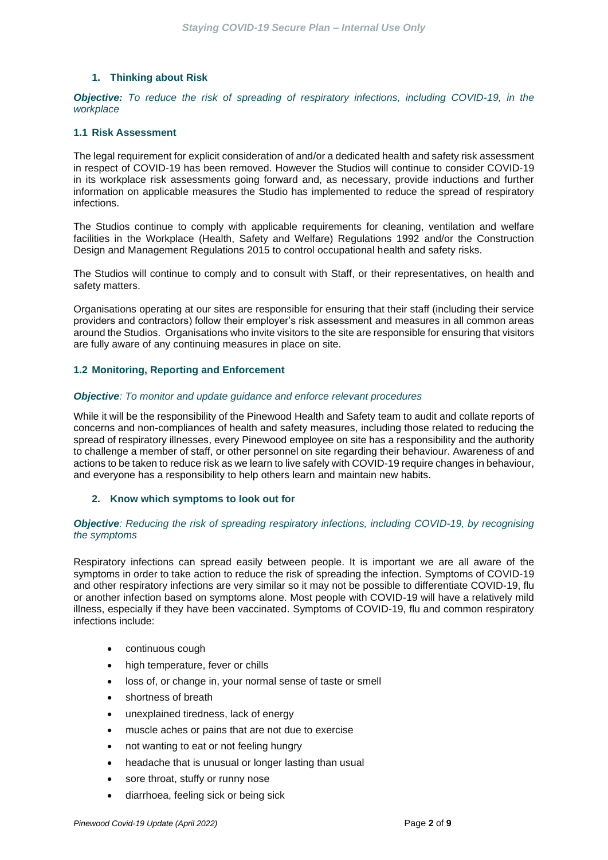# **1. Thinking about Risk**

<span id="page-1-0"></span>*Objective: To reduce the risk of spreading of respiratory infections, including COVID-19, in the workplace*

### **1.1 Risk Assessment**

The legal requirement for explicit consideration of and/or a dedicated health and safety risk assessment in respect of COVID-19 has been removed. However the Studios will continue to consider COVID-19 in its workplace risk assessments going forward and, as necessary, provide inductions and further information on applicable measures the Studio has implemented to reduce the spread of respiratory infections.

The Studios continue to comply with applicable requirements for cleaning, ventilation and welfare facilities in the Workplace (Health, Safety and Welfare) Regulations 1992 and/or the Construction Design and Management Regulations 2015 to control occupational health and safety risks.

The Studios will continue to comply and to consult with Staff, or their representatives, on health and safety matters.

Organisations operating at our sites are responsible for ensuring that their staff (including their service providers and contractors) follow their employer's risk assessment and measures in all common areas around the Studios. Organisations who invite visitors to the site are responsible for ensuring that visitors are fully aware of any continuing measures in place on site.

# **1.2 Monitoring, Reporting and Enforcement**

# *Objective: To monitor and update guidance and enforce relevant procedures*

While it will be the responsibility of the Pinewood Health and Safety team to audit and collate reports of concerns and non-compliances of health and safety measures, including those related to reducing the spread of respiratory illnesses, every Pinewood employee on site has a responsibility and the authority to challenge a member of staff, or other personnel on site regarding their behaviour. Awareness of and actions to be taken to reduce risk as we learn to live safely with COVID-19 require changes in behaviour, and everyone has a responsibility to help others learn and maintain new habits.

### <span id="page-1-1"></span>**2. Know which symptoms to look out for**

### *Objective: Reducing the risk of spreading respiratory infections, including COVID-19, by recognising the symptoms*

Respiratory infections can spread easily between people. It is important we are all aware of the symptoms in order to take action to reduce the risk of spreading the infection. Symptoms of COVID-19 and other respiratory infections are very similar so it may not be possible to differentiate COVID-19, flu or another infection based on symptoms alone. Most people with COVID-19 will have a relatively mild illness, especially if they have been vaccinated. Symptoms of COVID-19, flu and common respiratory infections include:

- continuous cough
- high temperature, fever or chills
- loss of, or change in, your normal sense of taste or smell
- shortness of breath
- unexplained tiredness, lack of energy
- muscle aches or pains that are not due to exercise
- not wanting to eat or not feeling hungry
- headache that is unusual or longer lasting than usual
- sore throat, stuffy or runny nose
- diarrhoea, feeling sick or being sick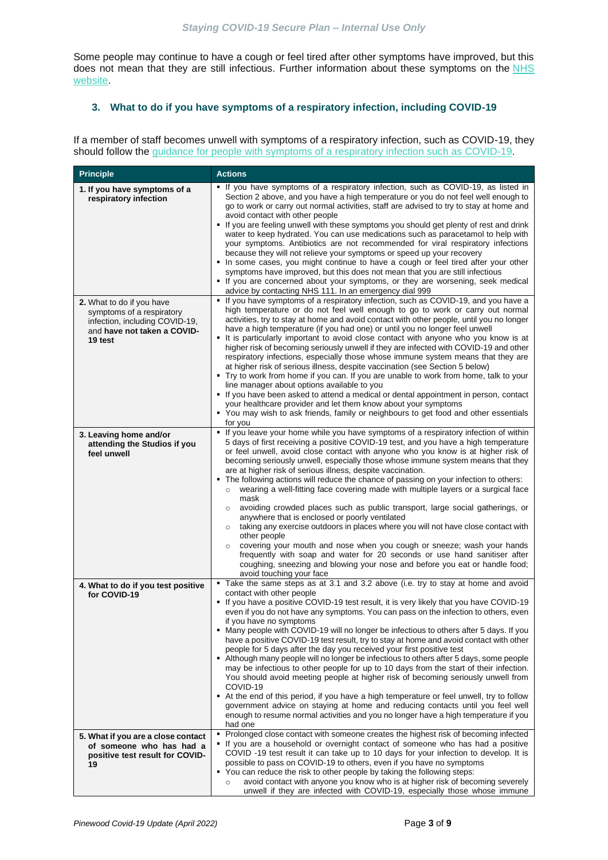Some people may continue to have a cough or feel tired after other symptoms have improved, but this does not mean that they are still infectious. Further information about these symptoms on the NHS [website.](https://www.nhs.uk/conditions/)

# <span id="page-2-0"></span>**3. What to do if you have symptoms of a respiratory infection, including COVID-19**

If a member of staff becomes unwell with symptoms of a respiratory infection, such as COVID-19, they should follow the [guidance for people with symptoms of a respiratory infection such as COVID-19.](https://www.gov.uk/guidance/people-with-symptoms-of-a-respiratory-infection-including-covid-19)

| <b>Principle</b>                                                                                                                   | <b>Actions</b>                                                                                                                                                                                                                                                                                                                                                                                                                                                                                                                                                                                                                                                                                                                                                                                                                                                                                                                                                                                                                                                                                                                                              |
|------------------------------------------------------------------------------------------------------------------------------------|-------------------------------------------------------------------------------------------------------------------------------------------------------------------------------------------------------------------------------------------------------------------------------------------------------------------------------------------------------------------------------------------------------------------------------------------------------------------------------------------------------------------------------------------------------------------------------------------------------------------------------------------------------------------------------------------------------------------------------------------------------------------------------------------------------------------------------------------------------------------------------------------------------------------------------------------------------------------------------------------------------------------------------------------------------------------------------------------------------------------------------------------------------------|
| 1. If you have symptoms of a<br>respiratory infection                                                                              | • If you have symptoms of a respiratory infection, such as COVID-19, as listed in<br>Section 2 above, and you have a high temperature or you do not feel well enough to<br>go to work or carry out normal activities, staff are advised to try to stay at home and<br>avoid contact with other people<br>If you are feeling unwell with these symptoms you should get plenty of rest and drink<br>water to keep hydrated. You can use medications such as paracetamol to help with<br>your symptoms. Antibiotics are not recommended for viral respiratory infections<br>because they will not relieve your symptoms or speed up your recovery<br>• In some cases, you might continue to have a cough or feel tired after your other<br>symptoms have improved, but this does not mean that you are still infectious<br>If you are concerned about your symptoms, or they are worsening, seek medical<br>advice by contacting NHS 111. In an emergency dial 999                                                                                                                                                                                             |
| 2. What to do if you have<br>symptoms of a respiratory<br>infection, including COVID-19,<br>and have not taken a COVID-<br>19 test | • If you have symptoms of a respiratory infection, such as COVID-19, and you have a<br>high temperature or do not feel well enough to go to work or carry out normal<br>activities, try to stay at home and avoid contact with other people, until you no longer<br>have a high temperature (if you had one) or until you no longer feel unwell<br>It is particularly important to avoid close contact with anyone who you know is at<br>higher risk of becoming seriously unwell if they are infected with COVID-19 and other<br>respiratory infections, especially those whose immune system means that they are<br>at higher risk of serious illness, despite vaccination (see Section 5 below)<br>Try to work from home if you can. If you are unable to work from home, talk to your<br>line manager about options available to you<br>If you have been asked to attend a medical or dental appointment in person, contact<br>your healthcare provider and let them know about your symptoms<br>" You may wish to ask friends, family or neighbours to get food and other essentials<br>for you                                                        |
| 3. Leaving home and/or<br>attending the Studios if you<br>feel unwell                                                              | If you leave your home while you have symptoms of a respiratory infection of within<br>5 days of first receiving a positive COVID-19 test, and you have a high temperature<br>or feel unwell, avoid close contact with anyone who you know is at higher risk of<br>becoming seriously unwell, especially those whose immune system means that they<br>are at higher risk of serious illness, despite vaccination.<br>The following actions will reduce the chance of passing on your infection to others:<br>wearing a well-fitting face covering made with multiple layers or a surgical face<br>mask<br>avoiding crowded places such as public transport, large social gatherings, or<br>$\circ$<br>anywhere that is enclosed or poorly ventilated<br>taking any exercise outdoors in places where you will not have close contact with<br>$\circ$<br>other people<br>covering your mouth and nose when you cough or sneeze; wash your hands<br>$\circ$<br>frequently with soap and water for 20 seconds or use hand sanitiser after<br>coughing, sneezing and blowing your nose and before you eat or handle food;<br>avoid touching your face           |
| 4. What to do if you test positive<br>for COVID-19                                                                                 | Take the same steps as at 3.1 and 3.2 above (i.e. try to stay at home and avoid<br>contact with other people<br>• If you have a positive COVID-19 test result, it is very likely that you have COVID-19<br>even if you do not have any symptoms. You can pass on the infection to others, even<br>if you have no symptoms<br>• Many people with COVID-19 will no longer be infectious to others after 5 days. If you<br>have a positive COVID-19 test result, try to stay at home and avoid contact with other<br>people for 5 days after the day you received your first positive test<br>• Although many people will no longer be infectious to others after 5 days, some people<br>may be infectious to other people for up to 10 days from the start of their infection.<br>You should avoid meeting people at higher risk of becoming seriously unwell from<br>COVID-19<br>At the end of this period, if you have a high temperature or feel unwell, try to follow<br>government advice on staying at home and reducing contacts until you feel well<br>enough to resume normal activities and you no longer have a high temperature if you<br>had one |
| 5. What if you are a close contact<br>of someone who has had a<br>positive test result for COVID-<br>19                            | Prolonged close contact with someone creates the highest risk of becoming infected<br>٠<br>If you are a household or overnight contact of someone who has had a positive<br>COVID -19 test result it can take up to 10 days for your infection to develop. It is<br>possible to pass on COVID-19 to others, even if you have no symptoms<br>• You can reduce the risk to other people by taking the following steps:<br>avoid contact with anyone you know who is at higher risk of becoming severely<br>$\circ$<br>unwell if they are infected with COVID-19, especially those whose immune                                                                                                                                                                                                                                                                                                                                                                                                                                                                                                                                                                |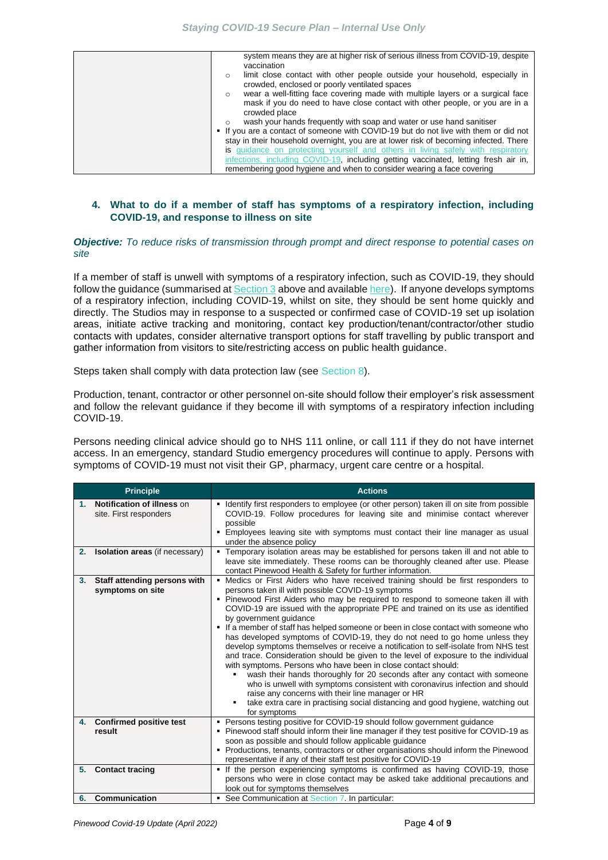|             |  |  |  |  | system means they are at higher risk of serious illness from COVID-19, despite |  |
|-------------|--|--|--|--|--------------------------------------------------------------------------------|--|
| vaccination |  |  |  |  |                                                                                |  |

| limit close contact with other people outside your household, especially in<br>$\circ$    |
|-------------------------------------------------------------------------------------------|
| crowded, enclosed or poorly ventilated spaces                                             |
| wear a well-fitting face covering made with multiple layers or a surgical face<br>$\circ$ |
| mask if you do need to have close contact with other people, or you are in a              |
| crowded place                                                                             |
| wash your hands frequently with soap and water or use hand sanitiser<br>$\circ$           |
| • If you are a contact of someone with COVID-19 but do not live with them or did not      |
| stay in their household overnight, you are at lower risk of becoming infected. There      |
| is quidance on protecting yourself and others in living safely with respiratory           |
| infections, including COVID-19, including getting vaccinated, letting fresh air in,       |
| remembering good hygiene and when to consider wearing a face covering                     |

# <span id="page-3-0"></span>**4. What to do if a member of staff has symptoms of a respiratory infection, including COVID-19, and response to illness on site**

#### *Objective: To reduce risks of transmission through prompt and direct response to potential cases on site*

If a member of staff is unwell with symptoms of a respiratory infection, such as COVID-19, they should follow the guidance (summarised at [Section 3](#page-1-1) above and available [here\)](https://www.gov.uk/guidance/people-with-symptoms-of-a-respiratory-infection-including-covid-19). If anyone develops symptoms of a respiratory infection, including COVID-19, whilst on site, they should be sent home quickly and directly. The Studios may in response to a suspected or confirmed case of COVID-19 set up isolation areas, initiate active tracking and monitoring, contact key production/tenant/contractor/other studio contacts with updates, consider alternative transport options for staff travelling by public transport and gather information from visitors to site/restricting access on public health guidance.

Steps taken shall comply with data protection law (see [Section 8](#page-8-1)).

Production, tenant, contractor or other personnel on-site should follow their employer's risk assessment and follow the relevant guidance if they become ill with symptoms of a respiratory infection including COVID-19.

Persons needing clinical advice should go to NHS 111 online, or call 111 if they do not have internet access. In an emergency, standard Studio emergency procedures will continue to apply. Persons with symptoms of COVID-19 must not visit their GP, pharmacy, urgent care centre or a hospital.

| <b>Principle</b>                                                  | <b>Actions</b>                                                                                                                                                                                                                                                                                                                                                                                                                                                                                                                                                                                                                                                                                                                                                                                                                                                                                                                                                                                                                                                                     |
|-------------------------------------------------------------------|------------------------------------------------------------------------------------------------------------------------------------------------------------------------------------------------------------------------------------------------------------------------------------------------------------------------------------------------------------------------------------------------------------------------------------------------------------------------------------------------------------------------------------------------------------------------------------------------------------------------------------------------------------------------------------------------------------------------------------------------------------------------------------------------------------------------------------------------------------------------------------------------------------------------------------------------------------------------------------------------------------------------------------------------------------------------------------|
| <b>Notification of illness on</b><br>1.<br>site. First responders | Identify first responders to employee (or other person) taken ill on site from possible<br>٠<br>COVID-19. Follow procedures for leaving site and minimise contact wherever<br>possible<br>Employees leaving site with symptoms must contact their line manager as usual<br>٠<br>under the absence policy                                                                                                                                                                                                                                                                                                                                                                                                                                                                                                                                                                                                                                                                                                                                                                           |
| <b>Isolation areas</b> (if necessary)<br>2.                       | • Temporary isolation areas may be established for persons taken ill and not able to<br>leave site immediately. These rooms can be thoroughly cleaned after use. Please<br>contact Pinewood Health & Safety for further information.                                                                                                                                                                                                                                                                                                                                                                                                                                                                                                                                                                                                                                                                                                                                                                                                                                               |
| Staff attending persons with<br>3.<br>symptoms on site            | Medics or First Aiders who have received training should be first responders to<br>persons taken ill with possible COVID-19 symptoms<br>• Pinewood First Aiders who may be required to respond to someone taken ill with<br>COVID-19 are issued with the appropriate PPE and trained on its use as identified<br>by government guidance<br>If a member of staff has helped someone or been in close contact with someone who<br>has developed symptoms of COVID-19, they do not need to go home unless they<br>develop symptoms themselves or receive a notification to self-isolate from NHS test<br>and trace. Consideration should be given to the level of exposure to the individual<br>with symptoms. Persons who have been in close contact should:<br>wash their hands thoroughly for 20 seconds after any contact with someone<br>who is unwell with symptoms consistent with coronavirus infection and should<br>raise any concerns with their line manager or HR<br>take extra care in practising social distancing and good hygiene, watching out<br>٠<br>for symptoms |
| 4. Confirmed positive test<br>result                              | • Persons testing positive for COVID-19 should follow government guidance<br>• Pinewood staff should inform their line manager if they test positive for COVID-19 as                                                                                                                                                                                                                                                                                                                                                                                                                                                                                                                                                                                                                                                                                                                                                                                                                                                                                                               |
|                                                                   | soon as possible and should follow applicable guidance                                                                                                                                                                                                                                                                                                                                                                                                                                                                                                                                                                                                                                                                                                                                                                                                                                                                                                                                                                                                                             |
|                                                                   | • Productions, tenants, contractors or other organisations should inform the Pinewood<br>representative if any of their staff test positive for COVID-19                                                                                                                                                                                                                                                                                                                                                                                                                                                                                                                                                                                                                                                                                                                                                                                                                                                                                                                           |
| <b>Contact tracing</b><br>5.                                      | • If the person experiencing symptoms is confirmed as having COVID-19, those<br>persons who were in close contact may be asked take additional precautions and<br>look out for symptoms themselves                                                                                                                                                                                                                                                                                                                                                                                                                                                                                                                                                                                                                                                                                                                                                                                                                                                                                 |
| Communication<br>6.                                               | • See Communication at Section 7. In particular:                                                                                                                                                                                                                                                                                                                                                                                                                                                                                                                                                                                                                                                                                                                                                                                                                                                                                                                                                                                                                                   |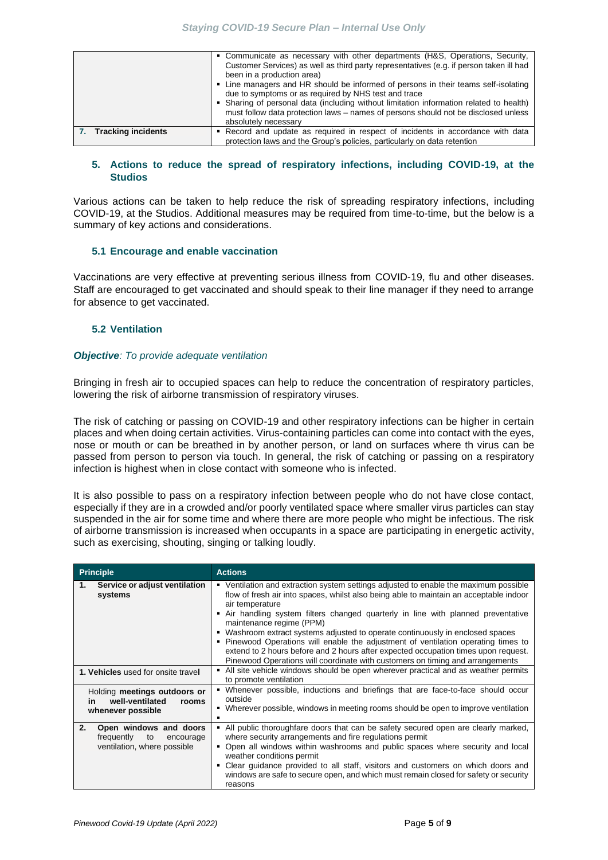|                       | • Communicate as necessary with other departments (H&S, Operations, Security,<br>Customer Services) as well as third party representatives (e.g. if person taken ill had<br>been in a production area)<br>• Line managers and HR should be informed of persons in their teams self-isolating<br>due to symptoms or as required by NHS test and trace<br>• Sharing of personal data (including without limitation information related to health)<br>must follow data protection laws – names of persons should not be disclosed unless<br>absolutely necessary |
|-----------------------|---------------------------------------------------------------------------------------------------------------------------------------------------------------------------------------------------------------------------------------------------------------------------------------------------------------------------------------------------------------------------------------------------------------------------------------------------------------------------------------------------------------------------------------------------------------|
| 7. Tracking incidents | Record and update as required in respect of incidents in accordance with data<br>protection laws and the Group's policies, particularly on data retention                                                                                                                                                                                                                                                                                                                                                                                                     |

# <span id="page-4-0"></span>**5. Actions to reduce the spread of respiratory infections, including COVID-19, at the Studios**

Various actions can be taken to help reduce the risk of spreading respiratory infections, including COVID-19, at the Studios. Additional measures may be required from time-to-time, but the below is a summary of key actions and considerations.

### **5.1 Encourage and enable vaccination**

Vaccinations are very effective at preventing serious illness from COVID-19, flu and other diseases. Staff are encouraged to get vaccinated and should speak to their line manager if they need to arrange for absence to get vaccinated.

# **5.2 Ventilation**

### *Objective: To provide adequate ventilation*

Bringing in fresh air to occupied spaces can help to reduce the concentration of respiratory particles, lowering the risk of airborne transmission of respiratory viruses.

The risk of catching or passing on COVID-19 and other respiratory infections can be higher in certain places and when doing certain activities. Virus-containing particles can come into contact with the eyes, nose or mouth or can be breathed in by another person, or land on surfaces where th virus can be passed from person to person via touch. In general, the risk of catching or passing on a respiratory infection is highest when in close contact with someone who is infected.

It is also possible to pass on a respiratory infection between people who do not have close contact, especially if they are in a crowded and/or poorly ventilated space where smaller virus particles can stay suspended in the air for some time and where there are more people who might be infectious. The risk of airborne transmission is increased when occupants in a space are participating in energetic activity, such as exercising, shouting, singing or talking loudly.

| <b>Principle</b>                                                                             | <b>Actions</b>                                                                                                                                                                                                                                                                                                                                                                                                                                                                                                                                                                                                                                                          |
|----------------------------------------------------------------------------------------------|-------------------------------------------------------------------------------------------------------------------------------------------------------------------------------------------------------------------------------------------------------------------------------------------------------------------------------------------------------------------------------------------------------------------------------------------------------------------------------------------------------------------------------------------------------------------------------------------------------------------------------------------------------------------------|
| Service or adjust ventilation<br>1.<br>systems                                               | • Ventilation and extraction system settings adjusted to enable the maximum possible<br>flow of fresh air into spaces, whilst also being able to maintain an acceptable indoor<br>air temperature<br>Air handling system filters changed quarterly in line with planned preventative<br>٠<br>maintenance regime (PPM)<br>Washroom extract systems adjusted to operate continuously in enclosed spaces<br>٠<br>• Pinewood Operations will enable the adjustment of ventilation operating times to<br>extend to 2 hours before and 2 hours after expected occupation times upon request.<br>Pinewood Operations will coordinate with customers on timing and arrangements |
| 1. Vehicles used for onsite travel                                                           | All site vehicle windows should be open wherever practical and as weather permits<br>to promote ventilation                                                                                                                                                                                                                                                                                                                                                                                                                                                                                                                                                             |
| Holding meetings outdoors or<br>well-ventilated<br>rooms<br><b>in</b><br>whenever possible   | Whenever possible, inductions and briefings that are face-to-face should occur<br>outside<br>• Wherever possible, windows in meeting rooms should be open to improve ventilation                                                                                                                                                                                                                                                                                                                                                                                                                                                                                        |
| 2.<br>Open windows and doors<br>frequently<br>to<br>encourage<br>ventilation, where possible | All public thoroughfare doors that can be safety secured open are clearly marked,<br>where security arrangements and fire regulations permit<br>Open all windows within washrooms and public spaces where security and local<br>weather conditions permit<br>Clear guidance provided to all staff, visitors and customers on which doors and<br>٠<br>windows are safe to secure open, and which must remain closed for safety or security<br>reasons                                                                                                                                                                                                                    |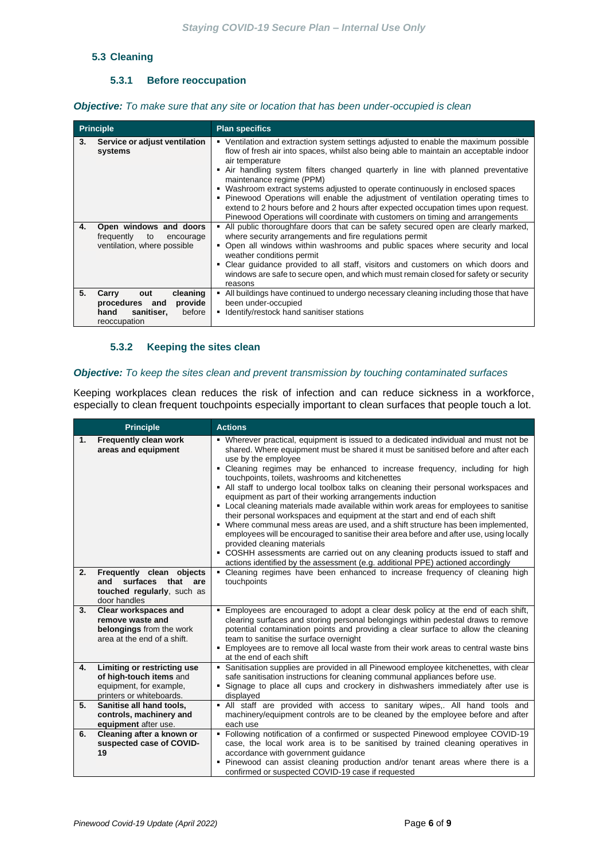# **5.3 Cleaning**

# **5.3.1 Before reoccupation**

*Objective: To make sure that any site or location that has been under-occupied is clean* 

|    | <b>Principle</b>                                                                                      | <b>Plan specifics</b>                                                                                                                                                                                                                                                                                                                                                                                                                                                                                                                                                                                                                                             |
|----|-------------------------------------------------------------------------------------------------------|-------------------------------------------------------------------------------------------------------------------------------------------------------------------------------------------------------------------------------------------------------------------------------------------------------------------------------------------------------------------------------------------------------------------------------------------------------------------------------------------------------------------------------------------------------------------------------------------------------------------------------------------------------------------|
| 3. | Service or adjust ventilation<br>systems                                                              | • Ventilation and extraction system settings adjusted to enable the maximum possible<br>flow of fresh air into spaces, whilst also being able to maintain an acceptable indoor<br>air temperature<br>• Air handling system filters changed quarterly in line with planned preventative<br>maintenance regime (PPM)<br>• Washroom extract systems adjusted to operate continuously in enclosed spaces<br>• Pinewood Operations will enable the adjustment of ventilation operating times to<br>extend to 2 hours before and 2 hours after expected occupation times upon request.<br>Pinewood Operations will coordinate with customers on timing and arrangements |
| 4. | Open windows and doors<br>frequently<br>to<br>encourage<br>ventilation, where possible                | • All public thoroughfare doors that can be safety secured open are clearly marked,<br>where security arrangements and fire regulations permit<br>. Open all windows within washrooms and public spaces where security and local<br>weather conditions permit<br>Clear guidance provided to all staff, visitors and customers on which doors and<br>٠<br>windows are safe to secure open, and which must remain closed for safety or security<br>reasons                                                                                                                                                                                                          |
| 5. | cleaning<br>Carry<br>out<br>provide<br>procedures and<br>sanitiser,<br>before<br>hand<br>reoccupation | All buildings have continued to undergo necessary cleaning including those that have<br>been under-occupied<br>Identify/restock hand sanitiser stations<br>٠                                                                                                                                                                                                                                                                                                                                                                                                                                                                                                      |

# **5.3.2 Keeping the sites clean**

# *Objective: To keep the sites clean and prevent transmission by touching contaminated surfaces*

Keeping workplaces clean reduces the risk of infection and can reduce sickness in a workforce, especially to clean frequent touchpoints especially important to clean surfaces that people touch a lot.

|    | <b>Principle</b>                                                                                              | <b>Actions</b>                                                                                                                                                                                                                                                                                                                                                                                                                                                                                                                                                                                                                                                                                                                                                                                                                                                                                                                                                                                                                                        |
|----|---------------------------------------------------------------------------------------------------------------|-------------------------------------------------------------------------------------------------------------------------------------------------------------------------------------------------------------------------------------------------------------------------------------------------------------------------------------------------------------------------------------------------------------------------------------------------------------------------------------------------------------------------------------------------------------------------------------------------------------------------------------------------------------------------------------------------------------------------------------------------------------------------------------------------------------------------------------------------------------------------------------------------------------------------------------------------------------------------------------------------------------------------------------------------------|
| 1. | Frequently clean work<br>areas and equipment                                                                  | • Wherever practical, equipment is issued to a dedicated individual and must not be<br>shared. Where equipment must be shared it must be sanitised before and after each<br>use by the employee<br>• Cleaning regimes may be enhanced to increase frequency, including for high<br>touchpoints, toilets, washrooms and kitchenettes<br>• All staff to undergo local toolbox talks on cleaning their personal workspaces and<br>equipment as part of their working arrangements induction<br>• Local cleaning materials made available within work areas for employees to sanitise<br>their personal workspaces and equipment at the start and end of each shift<br>• Where communal mess areas are used, and a shift structure has been implemented,<br>employees will be encouraged to sanitise their area before and after use, using locally<br>provided cleaning materials<br>• COSHH assessments are carried out on any cleaning products issued to staff and<br>actions identified by the assessment (e.g. additional PPE) actioned accordingly |
| 2. | Frequently clean objects<br>and surfaces that are<br>touched regularly, such as<br>door handles               | Cleaning regimes have been enhanced to increase frequency of cleaning high<br>$\blacksquare$<br>touchpoints                                                                                                                                                                                                                                                                                                                                                                                                                                                                                                                                                                                                                                                                                                                                                                                                                                                                                                                                           |
| 3. | Clear workspaces and<br>remove waste and<br>belongings from the work<br>area at the end of a shift.           | Employees are encouraged to adopt a clear desk policy at the end of each shift,<br>$\blacksquare$<br>clearing surfaces and storing personal belongings within pedestal draws to remove<br>potential contamination points and providing a clear surface to allow the cleaning<br>team to sanitise the surface overnight<br>Employees are to remove all local waste from their work areas to central waste bins<br>٠<br>at the end of each shift                                                                                                                                                                                                                                                                                                                                                                                                                                                                                                                                                                                                        |
| 4. | Limiting or restricting use<br>of high-touch items and<br>equipment, for example,<br>printers or whiteboards. | Sanitisation supplies are provided in all Pinewood employee kitchenettes, with clear<br>٠<br>safe sanitisation instructions for cleaning communal appliances before use.<br>• Signage to place all cups and crockery in dishwashers immediately after use is<br>displayed                                                                                                                                                                                                                                                                                                                                                                                                                                                                                                                                                                                                                                                                                                                                                                             |
| 5. | Sanitise all hand tools,<br>controls, machinery and<br>equipment after use.                                   | . All staff are provided with access to sanitary wipes,. All hand tools and<br>machinery/equipment controls are to be cleaned by the employee before and after<br>each use                                                                                                                                                                                                                                                                                                                                                                                                                                                                                                                                                                                                                                                                                                                                                                                                                                                                            |
| 6. | Cleaning after a known or<br>suspected case of COVID-<br>19                                                   | Following notification of a confirmed or suspected Pinewood employee COVID-19<br>٠<br>case, the local work area is to be sanitised by trained cleaning operatives in<br>accordance with government guidance<br>• Pinewood can assist cleaning production and/or tenant areas where there is a<br>confirmed or suspected COVID-19 case if requested                                                                                                                                                                                                                                                                                                                                                                                                                                                                                                                                                                                                                                                                                                    |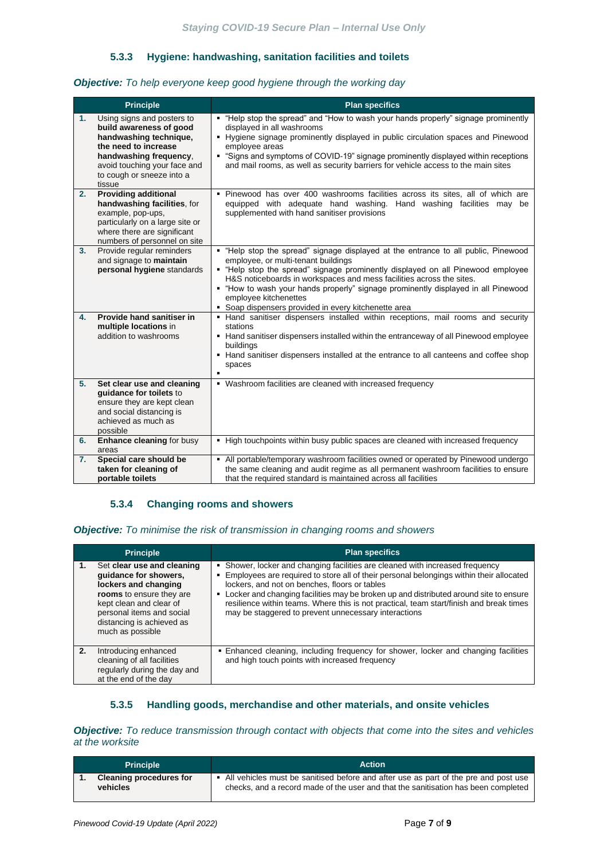# **5.3.3 Hygiene: handwashing, sanitation facilities and toilets**

### *Objective: To help everyone keep good hygiene through the working day*

|                | <b>Principle</b>                                                                                                                                                                               | <b>Plan specifics</b>                                                                                                                                                                                                                                                                                                                                                                                                                                      |
|----------------|------------------------------------------------------------------------------------------------------------------------------------------------------------------------------------------------|------------------------------------------------------------------------------------------------------------------------------------------------------------------------------------------------------------------------------------------------------------------------------------------------------------------------------------------------------------------------------------------------------------------------------------------------------------|
| 1.<br>tissue   | Using signs and posters to<br>build awareness of good<br>handwashing technique,<br>the need to increase<br>handwashing frequency.<br>avoid touching your face and<br>to cough or sneeze into a | "Help stop the spread" and "How to wash your hands properly" signage prominently<br>displayed in all washrooms<br>- Hygiene signage prominently displayed in public circulation spaces and Pinewood<br>employee areas<br>"Signs and symptoms of COVID-19" signage prominently displayed within receptions<br>and mail rooms, as well as security barriers for vehicle access to the main sites                                                             |
| 2.             | <b>Providing additional</b><br>handwashing facilities, for<br>example, pop-ups,<br>particularly on a large site or<br>where there are significant<br>numbers of personnel on site              | · Pinewood has over 400 washrooms facilities across its sites, all of which are<br>equipped with adequate hand washing. Hand washing facilities may be<br>supplemented with hand sanitiser provisions                                                                                                                                                                                                                                                      |
| 3.             | Provide regular reminders<br>and signage to maintain<br>personal hygiene standards                                                                                                             | . "Help stop the spread" signage displayed at the entrance to all public, Pinewood<br>employee, or multi-tenant buildings<br>- "Help stop the spread" signage prominently displayed on all Pinewood employee<br>H&S noticeboards in workspaces and mess facilities across the sites.<br>• "How to wash your hands properly" signage prominently displayed in all Pinewood<br>employee kitchenettes<br>• Soap dispensers provided in every kitchenette area |
| 4.             | Provide hand sanitiser in<br>multiple locations in<br>addition to washrooms                                                                                                                    | • Hand sanitiser dispensers installed within receptions, mail rooms and security<br>stations<br>• Hand sanitiser dispensers installed within the entranceway of all Pinewood employee<br>buildings<br>• Hand sanitiser dispensers installed at the entrance to all canteens and coffee shop<br>spaces                                                                                                                                                      |
| 5.<br>possible | Set clear use and cleaning<br>quidance for toilets to<br>ensure they are kept clean<br>and social distancing is<br>achieved as much as                                                         | • Washroom facilities are cleaned with increased frequency                                                                                                                                                                                                                                                                                                                                                                                                 |
| 6.<br>areas    | <b>Enhance cleaning for busy</b>                                                                                                                                                               | - High touchpoints within busy public spaces are cleaned with increased frequency                                                                                                                                                                                                                                                                                                                                                                          |
| 7.             | Special care should be<br>taken for cleaning of<br>portable toilets                                                                                                                            | • All portable/temporary washroom facilities owned or operated by Pinewood undergo<br>the same cleaning and audit regime as all permanent washroom facilities to ensure<br>that the required standard is maintained across all facilities                                                                                                                                                                                                                  |

# **5.3.4 Changing rooms and showers**

# *Objective: To minimise the risk of transmission in changing rooms and showers*

|    | <b>Principle</b>                                                                                                                                                                                                 | <b>Plan specifics</b>                                                                                                                                                                                                                                                                                                                                                                                                                                                    |
|----|------------------------------------------------------------------------------------------------------------------------------------------------------------------------------------------------------------------|--------------------------------------------------------------------------------------------------------------------------------------------------------------------------------------------------------------------------------------------------------------------------------------------------------------------------------------------------------------------------------------------------------------------------------------------------------------------------|
| 1. | Set clear use and cleaning<br>quidance for showers,<br>lockers and changing<br>rooms to ensure they are<br>kept clean and clear of<br>personal items and social<br>distancing is achieved as<br>much as possible | Shower, locker and changing facilities are cleaned with increased frequency<br>٠<br>Employees are required to store all of their personal belongings within their allocated<br>lockers, and not on benches, floors or tables<br>Locker and changing facilities may be broken up and distributed around site to ensure<br>resilience within teams. Where this is not practical, team start/finish and break times<br>may be staggered to prevent unnecessary interactions |
| 2. | Introducing enhanced<br>cleaning of all facilities<br>regularly during the day and<br>at the end of the day                                                                                                      | • Enhanced cleaning, including frequency for shower, locker and changing facilities<br>and high touch points with increased frequency                                                                                                                                                                                                                                                                                                                                    |

# **5.3.5 Handling goods, merchandise and other materials, and onsite vehicles**

### *Objective: To reduce transmission through contact with objects that come into the sites and vehicles at the worksite*

| <b>Principle</b>                           | <b>Action</b>                                                                                                                                                             |
|--------------------------------------------|---------------------------------------------------------------------------------------------------------------------------------------------------------------------------|
| <b>Cleaning procedures for</b><br>vehicles | All vehicles must be sanitised before and after use as part of the pre and post use<br>checks, and a record made of the user and that the sanitisation has been completed |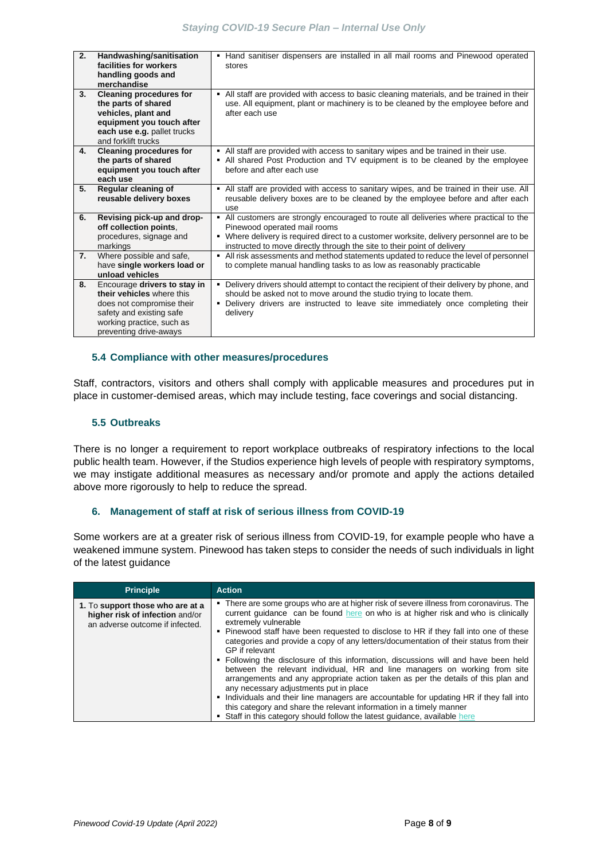| 2. | Handwashing/sanitisation<br>facilities for workers<br>handling goods and<br>merchandise                                                                                   | Hand sanitiser dispensers are installed in all mail rooms and Pinewood operated<br>٠<br>stores                                                                                                                                                                                                 |
|----|---------------------------------------------------------------------------------------------------------------------------------------------------------------------------|------------------------------------------------------------------------------------------------------------------------------------------------------------------------------------------------------------------------------------------------------------------------------------------------|
| 3. | <b>Cleaning procedures for</b><br>the parts of shared<br>vehicles, plant and<br>equipment you touch after<br>each use e.g. pallet trucks<br>and forklift trucks           | • All staff are provided with access to basic cleaning materials, and be trained in their<br>use. All equipment, plant or machinery is to be cleaned by the employee before and<br>after each use                                                                                              |
| 4. | <b>Cleaning procedures for</b><br>the parts of shared<br>equipment you touch after<br>each use                                                                            | - All staff are provided with access to sanitary wipes and be trained in their use.<br>• All shared Post Production and TV equipment is to be cleaned by the employee<br>before and after each use                                                                                             |
| 5. | Regular cleaning of<br>reusable delivery boxes                                                                                                                            | • All staff are provided with access to sanitary wipes, and be trained in their use. All<br>reusable delivery boxes are to be cleaned by the employee before and after each<br>use                                                                                                             |
| 6. | Revising pick-up and drop-<br>off collection points.<br>procedures, signage and<br>markings                                                                               | All customers are strongly encouraged to route all deliveries where practical to the<br>Pinewood operated mail rooms<br>Where delivery is required direct to a customer worksite, delivery personnel are to be<br>٠<br>instructed to move directly through the site to their point of delivery |
| 7. | Where possible and safe,<br>have single workers load or<br>unload vehicles                                                                                                | • All risk assessments and method statements updated to reduce the level of personnel<br>to complete manual handling tasks to as low as reasonably practicable                                                                                                                                 |
| 8. | Encourage drivers to stay in<br>their vehicles where this<br>does not compromise their<br>safety and existing safe<br>working practice, such as<br>preventing drive-aways | Delivery drivers should attempt to contact the recipient of their delivery by phone, and<br>٠.<br>should be asked not to move around the studio trying to locate them.<br>Delivery drivers are instructed to leave site immediately once completing their<br>٠<br>delivery                     |

### **5.4 Compliance with other measures/procedures**

Staff, contractors, visitors and others shall comply with applicable measures and procedures put in place in customer-demised areas, which may include testing, face coverings and social distancing.

### **5.5 Outbreaks**

There is no longer a requirement to report workplace outbreaks of respiratory infections to the local public health team. However, if the Studios experience high levels of people with respiratory symptoms, we may instigate additional measures as necessary and/or promote and apply the actions detailed above more rigorously to help to reduce the spread.

### <span id="page-7-0"></span>**6. Management of staff at risk of serious illness from COVID-19**

Some workers are at a greater risk of serious illness from COVID-19, for example people who have a weakened immune system. Pinewood has taken steps to consider the needs of such individuals in light of the latest guidance

| <b>Principle</b>                                                                                       | <b>Action</b>                                                                                                                                                                                                                                                                                                                                                                                                                                                                                                                                                                                                                                                                                                                                                                                                                                                                 |
|--------------------------------------------------------------------------------------------------------|-------------------------------------------------------------------------------------------------------------------------------------------------------------------------------------------------------------------------------------------------------------------------------------------------------------------------------------------------------------------------------------------------------------------------------------------------------------------------------------------------------------------------------------------------------------------------------------------------------------------------------------------------------------------------------------------------------------------------------------------------------------------------------------------------------------------------------------------------------------------------------|
| 1. To support those who are at a<br>higher risk of infection and/or<br>an adverse outcome if infected. | • There are some groups who are at higher risk of severe illness from coronavirus. The<br>current guidance can be found here on who is at higher risk and who is clinically<br>extremely vulnerable<br>• Pinewood staff have been requested to disclose to HR if they fall into one of these<br>categories and provide a copy of any letters/documentation of their status from their<br>GP if relevant<br>• Following the disclosure of this information, discussions will and have been held<br>between the relevant individual, HR and line managers on working from site<br>arrangements and any appropriate action taken as per the details of this plan and<br>any necessary adjustments put in place<br>• Individuals and their line managers are accountable for updating HR if they fall into<br>this category and share the relevant information in a timely manner |
|                                                                                                        | • Staff in this category should follow the latest guidance, available here                                                                                                                                                                                                                                                                                                                                                                                                                                                                                                                                                                                                                                                                                                                                                                                                    |